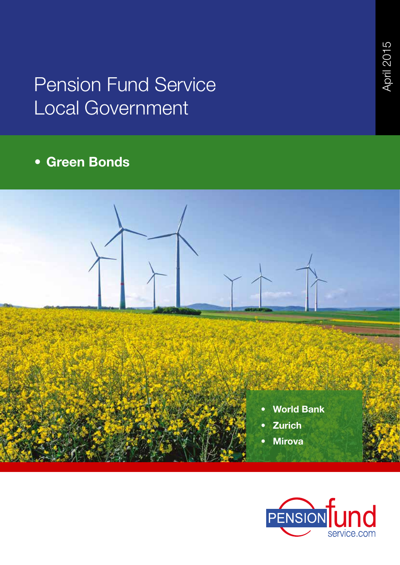# Pension Fund Service Local Government

# **• Green Bonds**



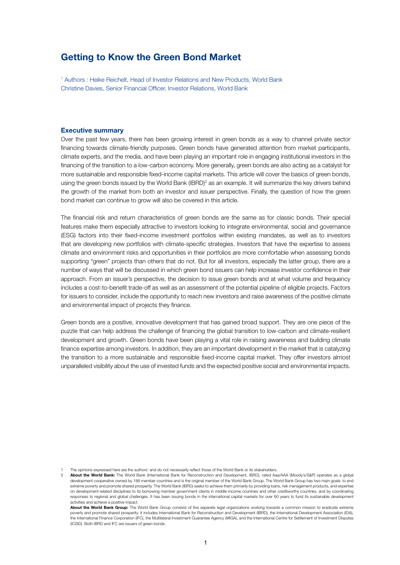### **Getting to Know the Green Bond Market**

1 Authors : Heike Reichelt, Head of Investor Relations and New Products, World Bank Christine Davies, Senior Financial Officer, Investor Relations, World Bank

#### **Executive summary**

Over the past few years, there has been growing interest in green bonds as a way to channel private sector financing towards climate-friendly purposes. Green bonds have generated attention from market participants, climate experts, and the media, and have been playing an important role in engaging institutional investors in the financing of the transition to a low-carbon economy. More generally, green bonds are also acting as a catalyst for more sustainable and responsible fixed-income capital markets. This article will cover the basics of green bonds, using the green bonds issued by the World Bank (IBRD)<sup>2</sup> as an example. It will summarize the key drivers behind the growth of the market from both an investor and issuer perspective. Finally, the question of how the green bond market can continue to grow will also be covered in this article.

The financial risk and return characteristics of green bonds are the same as for classic bonds. Their special features make them especially attractive to investors looking to integrate environmental, social and governance (ESG) factors into their fixed-income investment portfolios within existing mandates, as well as to investors that are developing new portfolios with climate-specific strategies. Investors that have the expertise to assess climate and environment risks and opportunities in their portfolios are more comfortable when assessing bonds supporting "green" projects than others that do not. But for all investors, especially the latter group, there are a number of ways that will be discussed in which green bond issuers can help increase investor confidence in their approach. From an issuer's perspective, the decision to issue green bonds and at what volume and frequency includes a cost-to-benefit trade-off as well as an assessment of the potential pipeline of eligible projects. Factors for issuers to consider, include the opportunity to reach new investors and raise awareness of the positive climate and environmental impact of projects they finance.

Green bonds are a positive, innovative development that has gained broad support. They are one piece of the puzzle that can help address the challenge of financing the global transition to low-carbon and climate-resilient development and growth. Green bonds have been playing a vital role in raising awareness and building climate finance expertise among investors. In addition, they are an important development in the market that is catalyzing the transition to a more sustainable and responsible fixed-income capital market. They offer investors almost unparalleled visibility about the use of invested funds and the expected positive social and environmental impacts.

1 The opinions expressed here are the authors' and do not necessarily reflect those of the World Bank or its stakeholders.

2 **About the World Bank:** The World Bank (International Bank for Reconstruction and Development, IBRD), rated Aaa/AAA (Moody's/S&P) operates as a global development cooperative owned by 188 member countries and is the original member of the World Bank Group. The World Bank Group has two main goals: to end extreme poverty and promote shared prosperity. The World Bank (IBRD) seeks to achieve them primarily by providing loans, risk management products, and expertise on development-related disciplines to its borrowing member government clients in middle-income countries and other creditworthy countries, and by coordinating responses to regional and global challenges. It has been issuing bonds in the international capital markets for over 60 years to fund its sustainable development activities and achieve a positive impact.

About the World Bank Group: The World Bank Group consists of five separate legal organizations working towards a common mission to eradicate extreme<br>poverty and promote shared prosperity. It includes International Bank for the International Finance Corporation (IFC), the Multilateral Investment Guarantee Agency (MIGA), and the International Centre for Settlement of Investment Disputes (ICSID). Both IBRD and IFC are issuers of green bonds.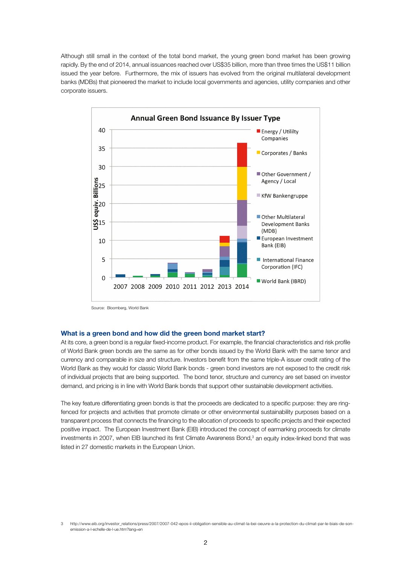Although still small in the context of the total bond market, the young green bond market has been growing rapidly. By the end of 2014, annual issuances reached over US\$35 billion, more than three times the US\$11 billion issued the year before. Furthermore, the mix of issuers has evolved from the original multilateral development banks (MDBs) that pioneered the market to include local governments and agencies, utility companies and other corporate issuers.



Source: Bloomberg, World Bank

#### **What is a green bond and how did the green bond market start?**

At its core, a green bond is a regular fixed-income product. For example, the financial characteristics and risk profile of World Bank green bonds are the same as for other bonds issued by the World Bank with the same tenor and currency and comparable in size and structure. Investors benefit from the same triple-A issuer credit rating of the World Bank as they would for classic World Bank bonds - green bond investors are not exposed to the credit risk of individual projects that are being supported. The bond tenor, structure and currency are set based on investor demand, and pricing is in line with World Bank bonds that support other sustainable development activities.

The key feature differentiating green bonds is that the proceeds are dedicated to a specific purpose: they are ringfenced for projects and activities that promote climate or other environmental sustainability purposes based on a transparent process that connects the financing to the allocation of proceeds to specific projects and their expected positive impact. The European Investment Bank (EIB) introduced the concept of earmarking proceeds for climate investments in 2007, when EIB launched its first Climate Awareness Bond,<sup>3</sup> an equity index-linked bond that was listed in 27 domestic markets in the European Union.

<sup>3</sup> http://www.eib.org/investor\_relations/press/2007/2007-042-epos-ii-obligation-sensible-au-climat-la-bei-oeuvre-a-la-protection-du-climat-par-le-biais-de-sonemission-a-l-echelle-de-l-ue.htm?lang=en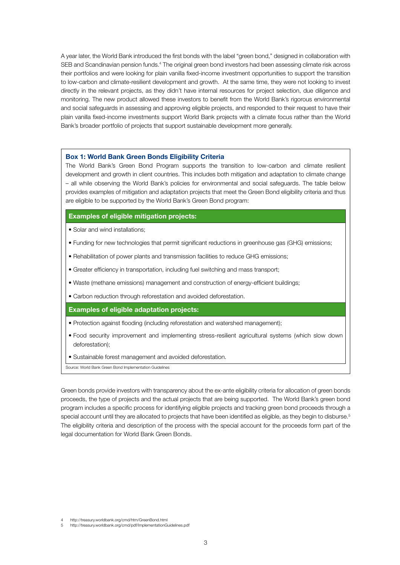A year later, the World Bank introduced the first bonds with the label "green bond," designed in collaboration with SEB and Scandinavian pension funds.<sup>4</sup> The original green bond investors had been assessing climate risk across their portfolios and were looking for plain vanilla fixed-income investment opportunities to support the transition to low-carbon and climate-resilient development and growth. At the same time, they were not looking to invest directly in the relevant projects, as they didn't have internal resources for project selection, due diligence and monitoring. The new product allowed these investors to benefit from the World Bank's rigorous environmental and social safeguards in assessing and approving eligible projects, and responded to their request to have their plain vanilla fixed-income investments support World Bank projects with a climate focus rather than the World Bank's broader portfolio of projects that support sustainable development more generally.

#### **Box 1: World Bank Green Bonds Eligibility Criteria**

The World Bank's Green Bond Program supports the transition to low-carbon and climate resilient development and growth in client countries. This includes both mitigation and adaptation to climate change – all while observing the World Bank's policies for environmental and social safeguards. The table below provides examples of mitigation and adaptation projects that meet the Green Bond eligibility criteria and thus are eligible to be supported by the World Bank's Green Bond program:

#### **Examples of eligible mitigation projects:**

- Solar and wind installations;
- Funding for new technologies that permit significant reductions in greenhouse gas (GHG) emissions;
- Rehabilitation of power plants and transmission facilities to reduce GHG emissions;
- Greater efficiency in transportation, including fuel switching and mass transport;
- Waste (methane emissions) management and construction of energy-efficient buildings;
- Carbon reduction through reforestation and avoided deforestation.

#### **Examples of eligible adaptation projects:**

- Protection against flooding (including reforestation and watershed management);
- Food security improvement and implementing stress-resilient agricultural systems (which slow down deforestation);
- Sustainable forest management and avoided deforestation.

Source: World Bank Green Bond Implementation Guidelines

Green bonds provide investors with transparency about the ex-ante eligibility criteria for allocation of green bonds proceeds, the type of projects and the actual projects that are being supported. The World Bank's green bond program includes a specific process for identifying eligible projects and tracking green bond proceeds through a special account until they are allocated to projects that have been identified as eligible, as they begin to disburse.<sup>5</sup> The eligibility criteria and description of the process with the special account for the proceeds form part of the legal documentation for World Bank Green Bonds.

5 http://treasury.worldbank.org/cmd/pdf/ImplementationGuidelines.pdf

<sup>4</sup> http://treasury.worldbank.org/cmd/htm/GreenBond.html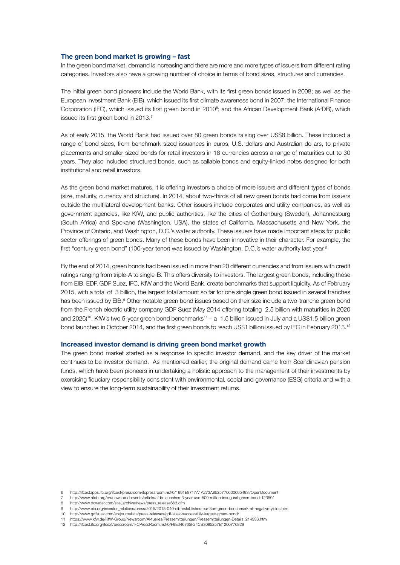#### **The green bond market is growing – fast**

In the green bond market, demand is increasing and there are more and more types of issuers from different rating categories. Investors also have a growing number of choice in terms of bond sizes, structures and currencies.

The initial green bond pioneers include the World Bank, with its first green bonds issued in 2008; as well as the European Investment Bank (EIB), which issued its first climate awareness bond in 2007; the International Finance Corporation (IFC), which issued its first green bond in 2010<sup>6</sup>; and the African Development Bank (AfDB), which issued its first green bond in 2013.<sup>7</sup>

As of early 2015, the World Bank had issued over 80 green bonds raising over US\$8 billion. These included a range of bond sizes, from benchmark-sized issuances in euros, U.S. dollars and Australian dollars, to private placements and smaller sized bonds for retail investors in 18 currencies across a range of maturities out to 30 years. They also included structured bonds, such as callable bonds and equity-linked notes designed for both institutional and retail investors.

As the green bond market matures, it is offering investors a choice of more issuers and different types of bonds (size, maturity, currency and structure). In 2014, about two-thirds of all new green bonds had come from issuers outside the multilateral development banks. Other issuers include corporates and utility companies, as well as government agencies, like KfW, and public authorities, like the cities of Gothenburg (Sweden), Johannesburg (South Africa) and Spokane (Washington, USA), the states of California, Massachusetts and New York, the Province of Ontario, and Washington, D.C.'s water authority. These issuers have made important steps for public sector offerings of green bonds. Many of these bonds have been innovative in their character. For example, the first "century green bond" (100-year tenor) was issued by Washington, D.C.'s water authority last year.<sup>8</sup>

By the end of 2014, green bonds had been issued in more than 20 different currencies and from issuers with credit ratings ranging from triple-A to single-B. This offers diversity to investors. The largest green bonds, including those from EIB, EDF, GDF Suez, IFC, KfW and the World Bank, create benchmarks that support liquidity. As of February 2015, with a total of <sup>€</sup>3 billion, the largest total amount so far for one single green bond issued in several tranches has been issued by EIB.<sup>9</sup> Other notable green bond issues based on their size include a two-tranche green bond from the French electric utility company GDF Suez (May 2014 offering totaling €2.5 billion with maturities in 2020 and 2026)<sup>10</sup>, KfW's two 5-year green bond benchmarks<sup>11</sup> – a €.5 billion issued in July and a US\$1.5 billion green bond launched in October 2014, and the first green bonds to reach US\$1 billion issued by IFC in February 2013.<sup>12</sup>

#### **Increased investor demand is driving green bond market growth**

The green bond market started as a response to specific investor demand, and the key driver of the market continues to be investor demand. As mentioned earlier, the original demand came from Scandinavian pension funds, which have been pioneers in undertaking a holistic approach to the management of their investments by exercising fiduciary responsibility consistent with environmental, social and governance (ESG) criteria and with a view to ensure the long-term sustainability of their investment returns.

<sup>6</sup> http://ifcextapps.ifc.org/ifcext/pressroom/ifcpressroom.nsf/0/1991E8717A1A273A8525770600605493?OpenDocument

<sup>7</sup> http://www.afdb.org/en/news-and-events/article/afdb-launches-3-year-usd-500-million-inaugural-green-bond-12359/

<sup>8</sup> http://www.dcwater.com/site\_archive/news/press\_release663.cfm

<sup>9</sup> http://www.eib.org/investor\_relations/press/2015/2015-040-eib-establishes-eur-3bn-green-benchmark-at-negative-yields.htm

<sup>10</sup> http://www.gdfsuez.com/en/journalists/press-releases/gdf-suez-successfully-largest-green-bond/

<sup>11</sup> https://www.kfw.de/KfW-Group/Newsroom/Aktuelles/Pressemitteilungen/Pressemitteilungen-Details\_214336.html

<sup>12</sup> http://ifcext.ifc.org/ifcext/pressroom/IFCPressRoom.nsf/0/F9E346765F24CB3085257B1200776829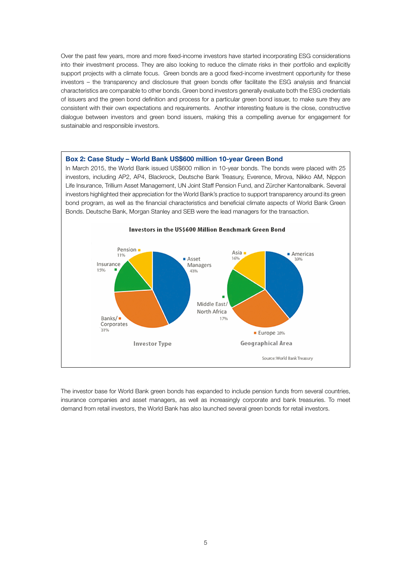Over the past few years, more and more fixed-income investors have started incorporating ESG considerations into their investment process. They are also looking to reduce the climate risks in their portfolio and explicitly support projects with a climate focus. Green bonds are a good fixed-income investment opportunity for these investors – the transparency and disclosure that green bonds offer facilitate the ESG analysis and financial characteristics are comparable to other bonds. Green bond investors generally evaluate both the ESG credentials of issuers and the green bond definition and process for a particular green bond issuer, to make sure they are consistent with their own expectations and requirements. Another interesting feature is the close, constructive dialogue between investors and green bond issuers, making this a compelling avenue for engagement for sustainable and responsible investors.



The investor base for World Bank green bonds has expanded to include pension funds from several countries, insurance companies and asset managers, as well as increasingly corporate and bank treasuries. To meet demand from retail investors, the World Bank has also launched several green bonds for retail investors.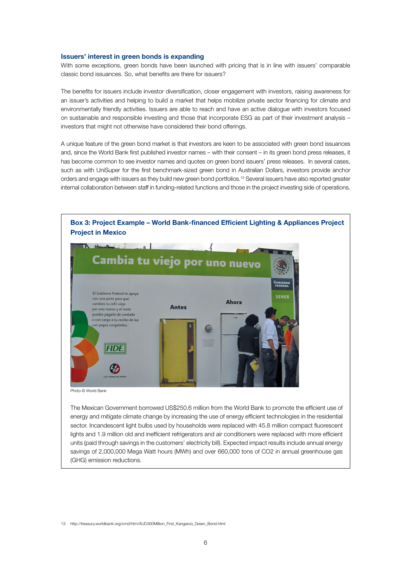#### **Issuers' interest in green bonds is expanding**

With some exceptions, green bonds have been launched with pricing that is in line with issuers' comparable classic bond issuances. So, what benefits are there for issuers?

The benefits for issuers include investor diversification, closer engagement with investors, raising awareness for an issuer's activities and helping to build a market that helps mobilize private sector financing for climate and environmentally friendly activities. Issuers are able to reach and have an active dialogue with investors focused on sustainable and responsible investing and those that incorporate ESG as part of their investment analysis – investors that might not otherwise have considered their bond offerings.

A unique feature of the green bond market is that investors are keen to be associated with green bond issuances and, since the World Bank first published investor names – with their consent – in its green bond press releases, it has become common to see investor names and quotes on green bond issuers' press releases. In several cases, such as with UniSuper for the first benchmark-sized green bond in Australian Dollars, investors provide anchor orders and engage with issuers as they build new green bond portfolios.13 Several issuers have also reported greater internal collaboration between staff in funding-related functions and those in the project investing side of operations.



Photo © World Bank

The Mexican Government borrowed US\$250.6 million from the World Bank to promote the efficient use of energy and mitigate climate change by increasing the use of energy efficient technologies in the residential sector. Incandescent light bulbs used by households were replaced with 45.8 million compact fluorescent lights and 1.9 million old and inefficient refrigerators and air conditioners were replaced with more efficient units (paid through savings in the customers' electricity bill). Expected impact results include annual energy savings of 2,000,000 Mega Watt hours (MWh) and over 660,000 tons of CO2 in annual greenhouse gas (GHG) emission reductions.

13 http://treasury.worldbank.org/cmd/htm/AUD300Million\_First\_Kangaroo\_Green\_Bond.html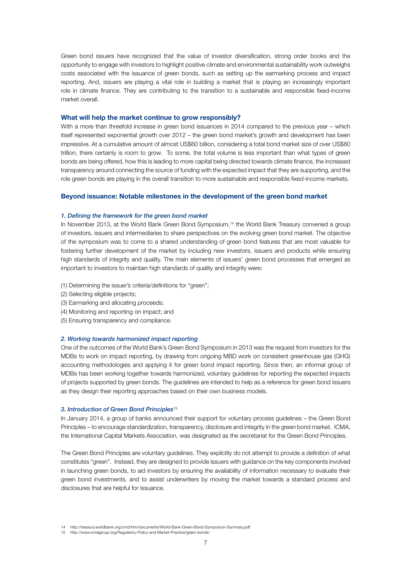Green bond issuers have recognized that the value of investor diversification, strong order books and the opportunity to engage with investors to highlight positive climate and environmental sustainability work outweighs costs associated with the issuance of green bonds, such as setting up the earmarking process and impact reporting. And, issuers are playing a vital role in building a market that is playing an increasingly important role in climate finance. They are contributing to the transition to a sustainable and responsible fixed-income market overall.

#### **What will help the market continue to grow responsibly?**

With a more than threefold increase in green bond issuances in 2014 compared to the previous year – which itself represented exponential growth over 2012 – the green bond market's growth and development has been impressive. At a cumulative amount of almost US\$60 billion, considering a total bond market size of over US\$80 trillion, there certainly is room to grow. To some, the total volume is less important than what types of green bonds are being offered, how this is leading to more capital being directed towards climate finance, the increased transparency around connecting the source of funding with the expected impact that they are supporting, and the role green bonds are playing in the overall transition to more sustainable and responsible fixed-income markets.

#### **Beyond issuance: Notable milestones in the development of the green bond market**

#### *1. Defining the framework for the green bond market*

In November 2013, at the World Bank Green Bond Symposium,<sup>14</sup> the World Bank Treasury convened a group of investors, issuers and intermediaries to share perspectives on the evolving green bond market. The objective of the symposium was to come to a shared understanding of green bond features that are most valuable for fostering further development of the market by including new investors, issuers and products while ensuring high standards of integrity and quality. The main elements of issuers' green bond processes that emerged as important to investors to maintain high standards of quality and integrity were:

- (1) Determining the issuer's criteria/definitions for "green";
- (2) Selecting eligible projects;
- (3) Earmarking and allocating proceeds;
- (4) Monitoring and reporting on impact; and
- (5) Ensuring transparency and compliance.

#### *2. Working towards harmonized impact reporting*

One of the outcomes of the World Bank's Green Bond Symposium in 2013 was the request from investors for the MDBs to work on impact reporting, by drawing from ongoing MBD work on consistent greenhouse gas (GHG) accounting methodologies and applying it for green bond impact reporting. Since then, an informal group of MDBs has been working together towards harmonized, voluntary guidelines for reporting the expected impacts of projects supported by green bonds. The guidelines are intended to help as a reference for green bond issuers as they design their reporting approaches based on their own business models.

#### *3. Introduction of Green Bond Principles*<sup>15</sup>

In January 2014, a group of banks announced their support for voluntary process guidelines – the Green Bond Principles – to encourage standardization, transparency, disclosure and integrity in the green bond market. ICMA, the International Capital Markets Association, was designated as the secretariat for the Green Bond Principles.

The Green Bond Principles are voluntary guidelines. They explicitly do not attempt to provide a definition of what constitutes "green". Instead, they are designed to provide issuers with guidance on the key components involved in launching green bonds, to aid investors by ensuring the availability of information necessary to evaluate their green bond investments, and to assist underwriters by moving the market towards a standard process and disclosures that are helpful for issuance.

<sup>14</sup> http://treasury.worldbank.org/cmd/htm/documents/World-Bank-Green-Bond-Symposium-Summary.pdf

<sup>15</sup> http://www.icmagroup.org/Regulatory-Policy-and-Market-Practice/green-bonds/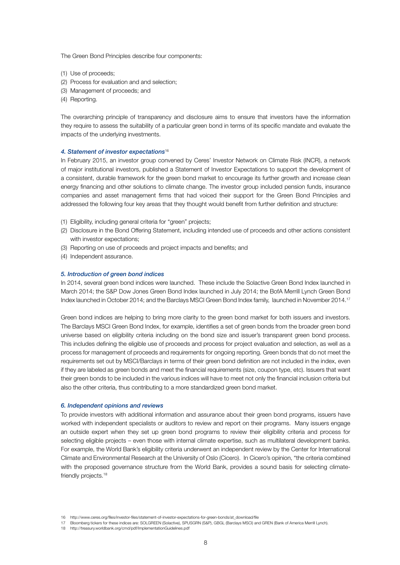The Green Bond Principles describe four components:

- (1) Use of proceeds;
- (2) Process for evaluation and and selection;
- (3) Management of proceeds; and
- (4) Reporting.

The overarching principle of transparency and disclosure aims to ensure that investors have the information they require to assess the suitability of a particular green bond in terms of its specific mandate and evaluate the impacts of the underlying investments.

#### *4. Statement of investor expectations*<sup>16</sup>

In February 2015, an investor group convened by Ceres' Investor Network on Climate Risk (INCR), a network of major institutional investors, published a Statement of Investor Expectations to support the development of a consistent, durable framework for the green bond market to encourage its further growth and increase clean energy financing and other solutions to climate change. The investor group included pension funds, insurance companies and asset management firms that had voiced their support for the Green Bond Principles and addressed the following four key areas that they thought would benefit from further definition and structure:

- (1) Eligibility, including general criteria for "green" projects;
- (2) Disclosure in the Bond Offering Statement, including intended use of proceeds and other actions consistent with investor expectations;
- (3) Reporting on use of proceeds and project impacts and benefits; and
- (4) Independent assurance.

#### *5. Introduction of green bond indices*

In 2014, several green bond indices were launched. These include the Solactive Green Bond Index launched in March 2014; the S&P Dow Jones Green Bond Index launched in July 2014; the BofA Merrill Lynch Green Bond Index launched in October 2014; and the Barclays MSCI Green Bond Index family, launched in November 2014.17

Green bond indices are helping to bring more clarity to the green bond market for both issuers and investors. The Barclays MSCI Green Bond Index, for example, identifies a set of green bonds from the broader green bond universe based on eligibility criteria including on the bond size and issuer's transparent green bond process. This includes defining the eligible use of proceeds and process for project evaluation and selection, as well as a process for management of proceeds and requirements for ongoing reporting. Green bonds that do not meet the requirements set out by MSCI/Barclays in terms of their green bond definition are not included in the index, even if they are labeled as green bonds and meet the financial requirements (size, coupon type, etc). Issuers that want their green bonds to be included in the various indices will have to meet not only the financial inclusion criteria but also the other criteria, thus contributing to a more standardized green bond market.

#### *6. Independent opinions and reviews*

To provide investors with additional information and assurance about their green bond programs, issuers have worked with independent specialists or auditors to review and report on their programs. Many issuers engage an outside expert when they set up green bond programs to review their eligibility criteria and process for selecting eligible projects – even those with internal climate expertise, such as multilateral development banks. For example, the World Bank's eligibility criteria underwent an independent review by the Center for International Climate and Environmental Research at the University of Oslo (Cicero). In Cicero's opinion, "the criteria combined with the proposed governance structure from the World Bank, provides a sound basis for selecting climatefriendly projects.<sup>18</sup>

<sup>16</sup> http://www.ceres.org/files/investor-files/statement-of-investor-expectations-for-green-bonds/at\_download/file

<sup>17</sup> Bloomberg tickers for these indices are: SOLGREEN (Solactive), SPUSGRN (S&P), GBGL (Barclays MSCI) and GREN (Bank of America Merrill Lynch).

<sup>18</sup> http://treasury.worldbank.org/cmd/pdf/ImplementationGuidelines.pdf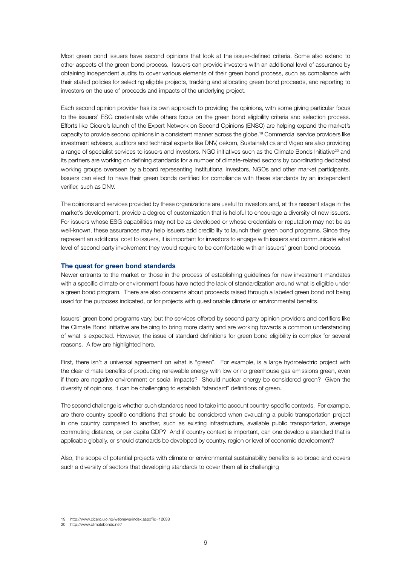Most green bond issuers have second opinions that look at the issuer-defined criteria. Some also extend to other aspects of the green bond process. Issuers can provide investors with an additional level of assurance by obtaining independent audits to cover various elements of their green bond process, such as compliance with their stated policies for selecting eligible projects, tracking and allocating green bond proceeds, and reporting to investors on the use of proceeds and impacts of the underlying project.

Each second opinion provider has its own approach to providing the opinions, with some giving particular focus to the issuers' ESG credentials while others focus on the green bond eligibility criteria and selection process. Efforts like Cicero's launch of the Expert Network on Second Opinions (ENSO) are helping expand the market's capacity to provide second opinions in a consistent manner across the globe.19 Commercial service providers like investment advisers, auditors and technical experts like DNV, oekom, Sustainalytics and Vigeo are also providing a range of specialist services to issuers and investors. NGO initiatives such as the Climate Bonds Initiative<sup>20</sup> and its partners are working on defining standards for a number of climate-related sectors by coordinating dedicated working groups overseen by a board representing institutional investors, NGOs and other market participants. Issuers can elect to have their green bonds certified for compliance with these standards by an independent verifier, such as DNV.

The opinions and services provided by these organizations are useful to investors and, at this nascent stage in the market's development, provide a degree of customization that is helpful to encourage a diversity of new issuers. For issuers whose ESG capabilities may not be as developed or whose credentials or reputation may not be as well-known, these assurances may help issuers add credibility to launch their green bond programs. Since they represent an additional cost to issuers, it is important for investors to engage with issuers and communicate what level of second party involvement they would require to be comfortable with an issuers' green bond process.

#### **The quest for green bond standards**

Newer entrants to the market or those in the process of establishing guidelines for new investment mandates with a specific climate or environment focus have noted the lack of standardization around what is eligible under a green bond program. There are also concerns about proceeds raised through a labeled green bond not being used for the purposes indicated, or for projects with questionable climate or environmental benefits.

Issuers' green bond programs vary, but the services offered by second party opinion providers and certifiers like the Climate Bond Initiative are helping to bring more clarity and are working towards a common understanding of what is expected. However, the issue of standard definitions for green bond eligibility is complex for several reasons. A few are highlighted here.

First, there isn't a universal agreement on what is "green". For example, is a large hydroelectric project with the clear climate benefits of producing renewable energy with low or no greenhouse gas emissions green, even if there are negative environment or social impacts? Should nuclear energy be considered green? Given the diversity of opinions, it can be challenging to establish "standard" definitions of green.

The second challenge is whether such standards need to take into account country-specific contexts. For example, are there country-specific conditions that should be considered when evaluating a public transportation project in one country compared to another, such as existing infrastructure, available public transportation, average commuting distance, or per capita GDP? And if country context is important, can one develop a standard that is applicable globally, or should standards be developed by country, region or level of economic development?

Also, the scope of potential projects with climate or environmental sustainability benefits is so broad and covers such a diversity of sectors that developing standards to cover them all is challenging

<sup>19</sup> http://www.cicero.uio.no/webnews/index.aspx?id=12038

<sup>20</sup> http://www.climatebonds.net/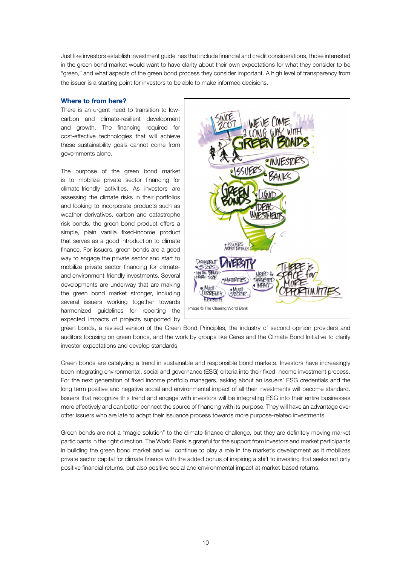Just like investors establish investment guidelines that include financial and credit considerations, those interested in the green bond market would want to have clarity about their own expectations for what they consider to be "green," and what aspects of the green bond process they consider important. A high level of transparency from the issuer is a starting point for investors to be able to make informed decisions.

#### **Where to from here?**

There is an urgent need to transition to lowcarbon and climate-resilient development and growth. The financing required for cost-effective technologies that will achieve these sustainability goals cannot come from governments alone.

The purpose of the green bond market is to mobilize private sector financing for climate-friendly activities. As investors are assessing the climate risks in their portfolios and looking to incorporate products such as weather derivatives, carbon and catastrophe risk bonds, the green bond product offers a simple, plain vanilla fixed-income product that serves as a good introduction to climate finance. For issuers, green bonds are a good way to engage the private sector and start to mobilize private sector financing for climateand environment-friendly investments. Several developments are underway that are making the green bond market stronger, including several issuers working together towards harmonized guidelines for reporting the expected impacts of projects supported by



green bonds, a revised version of the Green Bond Principles, the industry of second opinion providers and auditors focusing on green bonds, and the work by groups like Ceres and the Climate Bond Initiative to clarify investor expectations and develop standards.

Green bonds are catalyzing a trend in sustainable and responsible bond markets. Investors have increasingly been integrating environmental, social and governance (ESG) criteria into their fixed-income investment process. For the next generation of fixed income portfolio managers, asking about an issuers' ESG credentials and the long term positive and negative social and environmental impact of all their investments will become standard. Issuers that recognize this trend and engage with investors will be integrating ESG into their entire businesses more effectively and can better connect the source of financing with its purpose. They will have an advantage over other issuers who are late to adapt their issuance process towards more purpose-related investments.

Green bonds are not a "magic solution" to the climate finance challenge, but they are definitely moving market participants in the right direction. The World Bank is grateful for the support from investors and market participants in building the green bond market and will continue to play a role in the market's development as it mobilizes private sector capital for climate finance with the added bonus of inspiring a shift to investing that seeks not only positive financial returns, but also positive social and environmental impact at market-based returns.